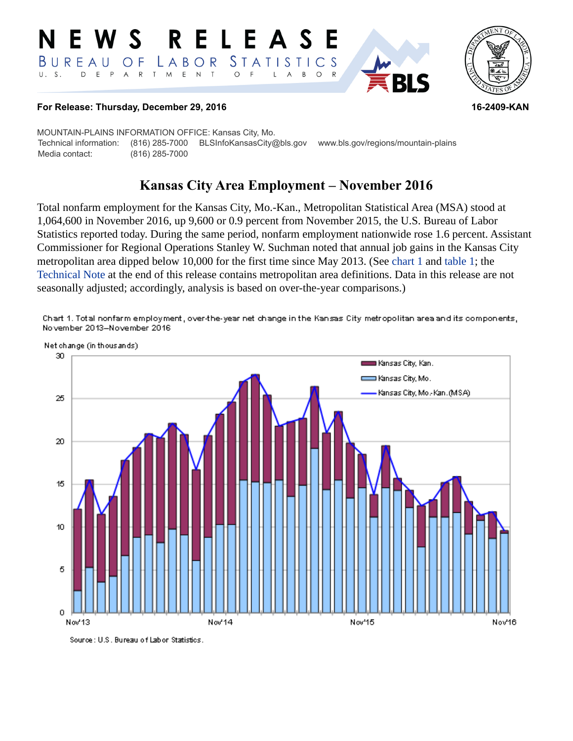#### **RELEAS** E  $\mathbf S$ STATISTICS BUREAU LABOR O F D E P T M  $E$  N  $T$  $\circ$  $U. S.$  $A$  $\mathsf{R}$  $\overline{F}$  $\mathsf{L}$  $\overline{A}$  $B$  $\circ$  $\mathsf{R}$



#### **For Release: Thursday, December 29, 2016 16-2409-KAN**

MOUNTAIN-PLAINS INFORMATION OFFICE: Kansas City, Mo. Technical information: (816) 285-7000 BLSInfoKansasCity@bls.gov www.bls.gov/regions/mountain-plains Media contact: (816) 285-7000

# **Kansas City Area Employment – November 2016**

Total nonfarm employment for the Kansas City, Mo.-Kan., Metropolitan Statistical Area (MSA) stood at 1,064,600 in November 2016, up 9,600 or 0.9 percent from November 2015, the U.S. Bureau of Labor Statistics reported today. During the same period, nonfarm employment nationwide rose 1.6 percent. Assistant Commissioner for Regional Operations Stanley W. Suchman noted that annual job gains in the Kansas City metropolitan area dipped below 10,000 for the first time since May 2013. (See [chart 1](#page-0-0) and [table 1;](#page-3-0) the [Technical Note](#page-1-0) at the end of this release contains metropolitan area definitions. Data in this release are not seasonally adjusted; accordingly, analysis is based on over-the-year comparisons.)

<span id="page-0-0"></span>Chart 1. Total nonfarm employment, over-the-year net change in the Kansas City metropolitan area and its components, No vember 2013-November 2016



Source: U.S. Bureau of Labor Statistics.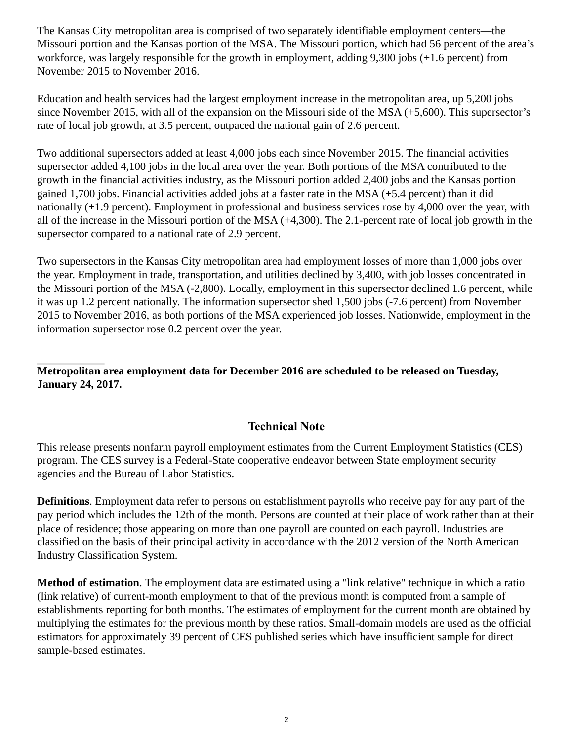The Kansas City metropolitan area is comprised of two separately identifiable employment centers—the Missouri portion and the Kansas portion of the MSA. The Missouri portion, which had 56 percent of the area's workforce, was largely responsible for the growth in employment, adding 9,300 jobs (+1.6 percent) from November 2015 to November 2016.

Education and health services had the largest employment increase in the metropolitan area, up 5,200 jobs since November 2015, with all of the expansion on the Missouri side of the MSA (+5,600). This supersector's rate of local job growth, at 3.5 percent, outpaced the national gain of 2.6 percent.

Two additional supersectors added at least 4,000 jobs each since November 2015. The financial activities supersector added 4,100 jobs in the local area over the year. Both portions of the MSA contributed to the growth in the financial activities industry, as the Missouri portion added 2,400 jobs and the Kansas portion gained 1,700 jobs. Financial activities added jobs at a faster rate in the MSA (+5.4 percent) than it did nationally (+1.9 percent). Employment in professional and business services rose by 4,000 over the year, with all of the increase in the Missouri portion of the MSA (+4,300). The 2.1-percent rate of local job growth in the supersector compared to a national rate of 2.9 percent.

Two supersectors in the Kansas City metropolitan area had employment losses of more than 1,000 jobs over the year. Employment in trade, transportation, and utilities declined by 3,400, with job losses concentrated in the Missouri portion of the MSA (-2,800). Locally, employment in this supersector declined 1.6 percent, while it was up 1.2 percent nationally. The information supersector shed 1,500 jobs (-7.6 percent) from November 2015 to November 2016, as both portions of the MSA experienced job losses. Nationwide, employment in the information supersector rose 0.2 percent over the year.

**Metropolitan area employment data for December 2016 are scheduled to be released on Tuesday, January 24, 2017.**

# **Technical Note**

<span id="page-1-0"></span>This release presents nonfarm payroll employment estimates from the Current Employment Statistics (CES) program. The CES survey is a Federal-State cooperative endeavor between State employment security agencies and the Bureau of Labor Statistics.

**Definitions**. Employment data refer to persons on establishment payrolls who receive pay for any part of the pay period which includes the 12th of the month. Persons are counted at their place of work rather than at their place of residence; those appearing on more than one payroll are counted on each payroll. Industries are classified on the basis of their principal activity in accordance with the 2012 version of the North American Industry Classification System.

**Method of estimation**. The employment data are estimated using a "link relative" technique in which a ratio (link relative) of current-month employment to that of the previous month is computed from a sample of establishments reporting for both months. The estimates of employment for the current month are obtained by multiplying the estimates for the previous month by these ratios. Small-domain models are used as the official estimators for approximately 39 percent of CES published series which have insufficient sample for direct sample-based estimates.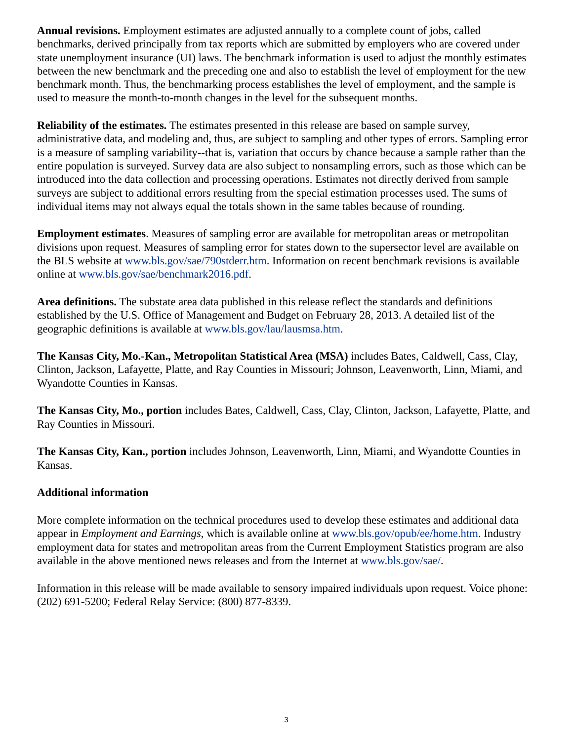**Annual revisions.** Employment estimates are adjusted annually to a complete count of jobs, called benchmarks, derived principally from tax reports which are submitted by employers who are covered under state unemployment insurance (UI) laws. The benchmark information is used to adjust the monthly estimates between the new benchmark and the preceding one and also to establish the level of employment for the new benchmark month. Thus, the benchmarking process establishes the level of employment, and the sample is used to measure the month-to-month changes in the level for the subsequent months.

**Reliability of the estimates.** The estimates presented in this release are based on sample survey, administrative data, and modeling and, thus, are subject to sampling and other types of errors. Sampling error is a measure of sampling variability--that is, variation that occurs by chance because a sample rather than the entire population is surveyed. Survey data are also subject to nonsampling errors, such as those which can be introduced into the data collection and processing operations. Estimates not directly derived from sample surveys are subject to additional errors resulting from the special estimation processes used. The sums of individual items may not always equal the totals shown in the same tables because of rounding.

**Employment estimates**. Measures of sampling error are available for metropolitan areas or metropolitan divisions upon request. Measures of sampling error for states down to the supersector level are available on the BLS website at [www.bls.gov/sae/790stderr.htm](https://www.bls.gov/sae/790stderr.htm). Information on recent benchmark revisions is available online at [www.bls.gov/sae/benchmark2016.pdf.](https://www.bls.gov/sae/benchmark2016.pdf)

**Area definitions.** The substate area data published in this release reflect the standards and definitions established by the U.S. Office of Management and Budget on February 28, 2013. A detailed list of the geographic definitions is available at [www.bls.gov/lau/lausmsa.htm.](https://www.bls.gov/lau/lausmsa.htm)

**The Kansas City, Mo.-Kan., Metropolitan Statistical Area (MSA)** includes Bates, Caldwell, Cass, Clay, Clinton, Jackson, Lafayette, Platte, and Ray Counties in Missouri; Johnson, Leavenworth, Linn, Miami, and Wyandotte Counties in Kansas.

**The Kansas City, Mo., portion** includes Bates, Caldwell, Cass, Clay, Clinton, Jackson, Lafayette, Platte, and Ray Counties in Missouri.

**The Kansas City, Kan., portion** includes Johnson, Leavenworth, Linn, Miami, and Wyandotte Counties in Kansas.

## **Additional information**

More complete information on the technical procedures used to develop these estimates and additional data appear in *Employment and Earnings*, which is available online at [www.bls.gov/opub/ee/home.htm](https://www.bls.gov/opub/ee/home.htm). Industry employment data for states and metropolitan areas from the Current Employment Statistics program are also available in the above mentioned news releases and from the Internet at [www.bls.gov/sae/](https://www.bls.gov/sae/).

Information in this release will be made available to sensory impaired individuals upon request. Voice phone: (202) 691-5200; Federal Relay Service: (800) 877-8339.